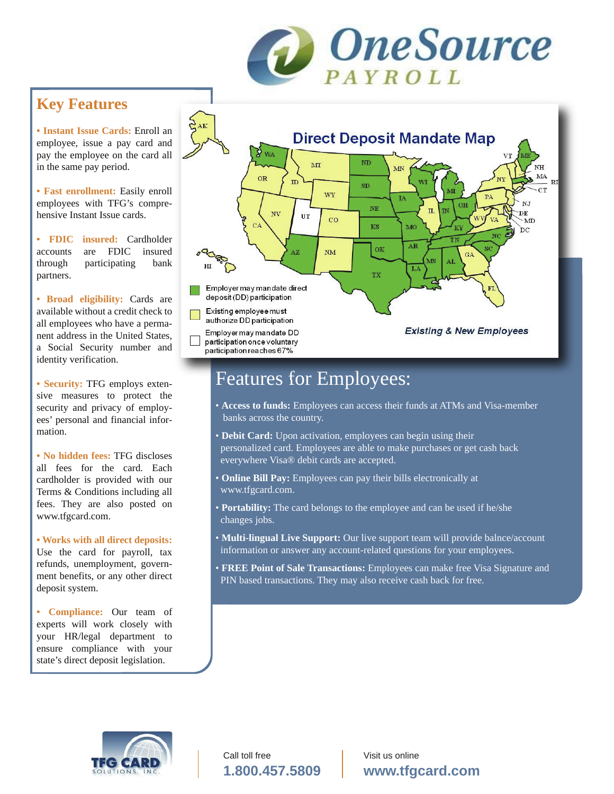

**• Instant Issue Cards:** Enroll an employee, issue a pay card and pay the employee on the card all in the same pay period.

**• Fast enrollment:** Easily enroll employees with TFG's comprehensive Instant Issue cards.

**• FDIC insured:** Cardholder accounts are FDIC insured through participating bank partners.

**• Broad eligibility:** Cards are available without a credit check to all employees who have a permanent address in the United States, a Social Security number and identity verification.

**• Security:** TFG employs extensive measures to protect the security and privacy of employees' personal and financial information.

**• No hidden fees:** TFG discloses all fees for the card. Each cardholder is provided with our Terms & Conditions including all fees. They are also posted on www.tfgcard.com.

**• Works with all direct deposits:** Use the card for payroll, tax refunds, unemployment, government benefits, or any other direct deposit system.

**• Compliance:** Our team of experts will work closely with your HR/legal department to ensure compliance with your state's direct deposit legislation.



## Features for Employees:

- **Access to funds:** Employees can access their funds at ATMs and Visa-member banks across the country.
- **Debit Card:** Upon activation, employees can begin using their personalized card. Employees are able to make purchases or get cash back everywhere Visa® debit cards are accepted.
- **Online Bill Pay:** Employees can pay their bills electronically at www.tfgcard.com.
- **Portability:** The card belongs to the employee and can be used if he/she changes jobs.
- **Multi-lingual Live Support:** Our live support team will provide balnce/account information or answer any account-related questions for your employees.
- • **FREE Point of Sale Transactions:** Employees can make free Visa Signature and PIN based transactions. They may also receive cash back for free.



Call toll free **1.800.457.5809**